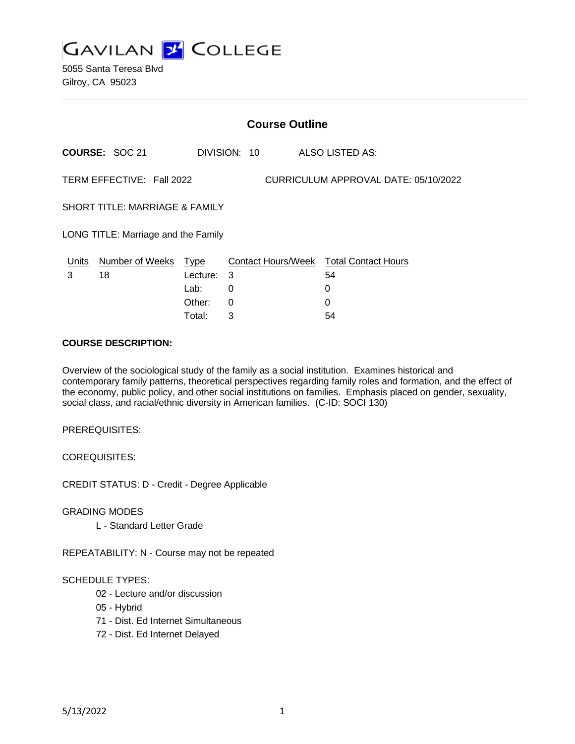

5055 Santa Teresa Blvd Gilroy, CA 95023

|                                                                   | <b>Course Outline</b>  |             |              |  |                                        |
|-------------------------------------------------------------------|------------------------|-------------|--------------|--|----------------------------------------|
|                                                                   | <b>COURSE: SOC 21</b>  |             | DIVISION: 10 |  | ALSO LISTED AS:                        |
| TERM EFFECTIVE: Fall 2022<br>CURRICULUM APPROVAL DATE: 05/10/2022 |                        |             |              |  |                                        |
| SHORT TITLE: MARRIAGE & FAMILY                                    |                        |             |              |  |                                        |
| LONG TITLE: Marriage and the Family                               |                        |             |              |  |                                        |
| <u>Units</u>                                                      | <b>Number of Weeks</b> | <u>Type</u> |              |  | Contact Hours/Week Total Contact Hours |
| 3                                                                 | 18                     | Lecture:    | -3           |  | 54                                     |
|                                                                   |                        | Lab:        | 0            |  | 0                                      |
|                                                                   |                        | Other:      | 0            |  | 0                                      |

Total: 3 54

#### **COURSE DESCRIPTION:**

Overview of the sociological study of the family as a social institution. Examines historical and contemporary family patterns, theoretical perspectives regarding family roles and formation, and the effect of the economy, public policy, and other social institutions on families. Emphasis placed on gender, sexuality, social class, and racial/ethnic diversity in American families. (C-ID: SOCI 130)

PREREQUISITES:

COREQUISITES:

CREDIT STATUS: D - Credit - Degree Applicable

GRADING MODES

L - Standard Letter Grade

REPEATABILITY: N - Course may not be repeated

#### SCHEDULE TYPES:

- 02 Lecture and/or discussion
- 05 Hybrid
- 71 Dist. Ed Internet Simultaneous
- 72 Dist. Ed Internet Delayed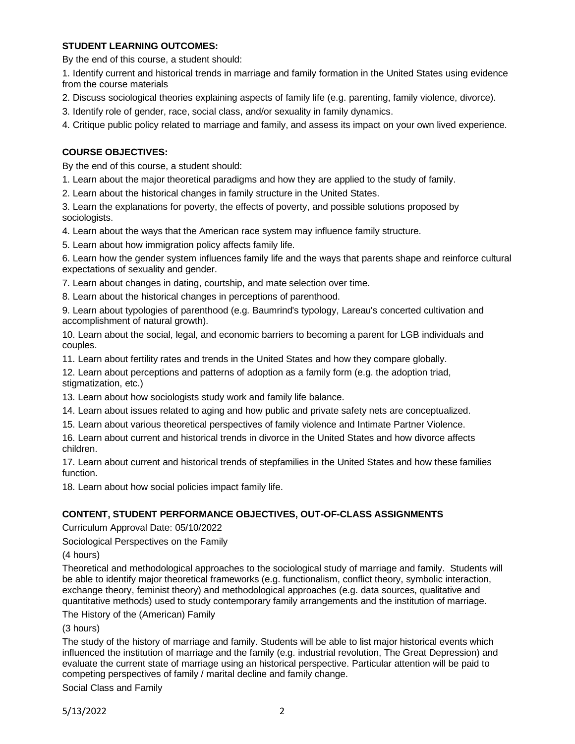### **STUDENT LEARNING OUTCOMES:**

By the end of this course, a student should:

1. Identify current and historical trends in marriage and family formation in the United States using evidence from the course materials

- 2. Discuss sociological theories explaining aspects of family life (e.g. parenting, family violence, divorce).
- 3. Identify role of gender, race, social class, and/or sexuality in family dynamics.
- 4. Critique public policy related to marriage and family, and assess its impact on your own lived experience.

# **COURSE OBJECTIVES:**

By the end of this course, a student should:

1. Learn about the major theoretical paradigms and how they are applied to the study of family.

2. Learn about the historical changes in family structure in the United States.

3. Learn the explanations for poverty, the effects of poverty, and possible solutions proposed by sociologists.

4. Learn about the ways that the American race system may influence family structure.

5. Learn about how immigration policy affects family life.

6. Learn how the gender system influences family life and the ways that parents shape and reinforce cultural expectations of sexuality and gender.

7. Learn about changes in dating, courtship, and mate selection over time.

8. Learn about the historical changes in perceptions of parenthood.

9. Learn about typologies of parenthood (e.g. Baumrind's typology, Lareau's concerted cultivation and accomplishment of natural growth).

10. Learn about the social, legal, and economic barriers to becoming a parent for LGB individuals and couples.

11. Learn about fertility rates and trends in the United States and how they compare globally.

12. Learn about perceptions and patterns of adoption as a family form (e.g. the adoption triad, stigmatization, etc.)

13. Learn about how sociologists study work and family life balance.

14. Learn about issues related to aging and how public and private safety nets are conceptualized.

15. Learn about various theoretical perspectives of family violence and Intimate Partner Violence.

16. Learn about current and historical trends in divorce in the United States and how divorce affects children.

17. Learn about current and historical trends of stepfamilies in the United States and how these families function.

18. Learn about how social policies impact family life.

### **CONTENT, STUDENT PERFORMANCE OBJECTIVES, OUT-OF-CLASS ASSIGNMENTS**

Curriculum Approval Date: 05/10/2022

Sociological Perspectives on the Family

(4 hours)

Theoretical and methodological approaches to the sociological study of marriage and family. Students will be able to identify major theoretical frameworks (e.g. functionalism, conflict theory, symbolic interaction, exchange theory, feminist theory) and methodological approaches (e.g. data sources, qualitative and quantitative methods) used to study contemporary family arrangements and the institution of marriage.

The History of the (American) Family

(3 hours)

The study of the history of marriage and family. Students will be able to list major historical events which influenced the institution of marriage and the family (e.g. industrial revolution, The Great Depression) and evaluate the current state of marriage using an historical perspective. Particular attention will be paid to competing perspectives of family / marital decline and family change.

Social Class and Family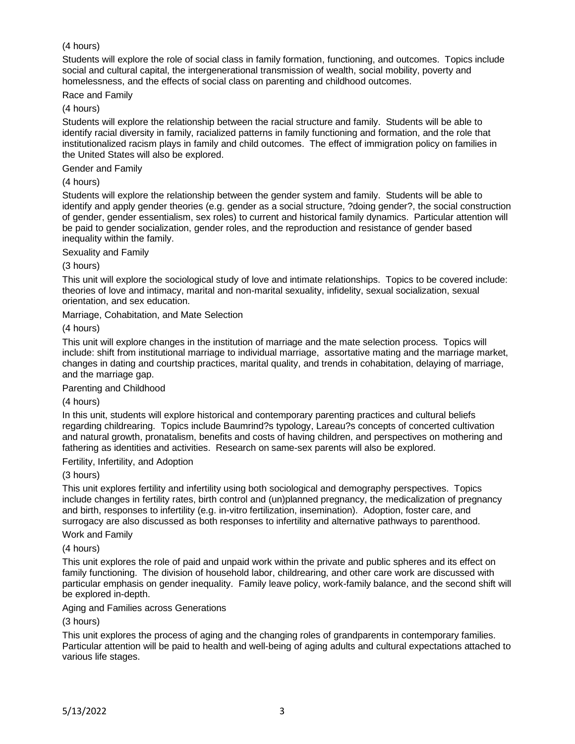# (4 hours)

Students will explore the role of social class in family formation, functioning, and outcomes. Topics include social and cultural capital, the intergenerational transmission of wealth, social mobility, poverty and homelessness, and the effects of social class on parenting and childhood outcomes.

Race and Family

(4 hours)

Students will explore the relationship between the racial structure and family. Students will be able to identify racial diversity in family, racialized patterns in family functioning and formation, and the role that institutionalized racism plays in family and child outcomes. The effect of immigration policy on families in the United States will also be explored.

Gender and Family

(4 hours)

Students will explore the relationship between the gender system and family. Students will be able to identify and apply gender theories (e.g. gender as a social structure, ?doing gender?, the social construction of gender, gender essentialism, sex roles) to current and historical family dynamics. Particular attention will be paid to gender socialization, gender roles, and the reproduction and resistance of gender based inequality within the family.

Sexuality and Family

(3 hours)

This unit will explore the sociological study of love and intimate relationships. Topics to be covered include: theories of love and intimacy, marital and non-marital sexuality, infidelity, sexual socialization, sexual orientation, and sex education.

Marriage, Cohabitation, and Mate Selection

(4 hours)

This unit will explore changes in the institution of marriage and the mate selection process. Topics will include: shift from institutional marriage to individual marriage, assortative mating and the marriage market, changes in dating and courtship practices, marital quality, and trends in cohabitation, delaying of marriage, and the marriage gap.

Parenting and Childhood

(4 hours)

In this unit, students will explore historical and contemporary parenting practices and cultural beliefs regarding childrearing. Topics include Baumrind?s typology, Lareau?s concepts of concerted cultivation and natural growth, pronatalism, benefits and costs of having children, and perspectives on mothering and fathering as identities and activities. Research on same-sex parents will also be explored.

Fertility, Infertility, and Adoption

(3 hours)

This unit explores fertility and infertility using both sociological and demography perspectives. Topics include changes in fertility rates, birth control and (un)planned pregnancy, the medicalization of pregnancy and birth, responses to infertility (e.g. in-vitro fertilization, insemination). Adoption, foster care, and surrogacy are also discussed as both responses to infertility and alternative pathways to parenthood.

Work and Family

(4 hours)

This unit explores the role of paid and unpaid work within the private and public spheres and its effect on family functioning. The division of household labor, childrearing, and other care work are discussed with particular emphasis on gender inequality. Family leave policy, work-family balance, and the second shift will be explored in-depth.

Aging and Families across Generations

(3 hours)

This unit explores the process of aging and the changing roles of grandparents in contemporary families. Particular attention will be paid to health and well-being of aging adults and cultural expectations attached to various life stages.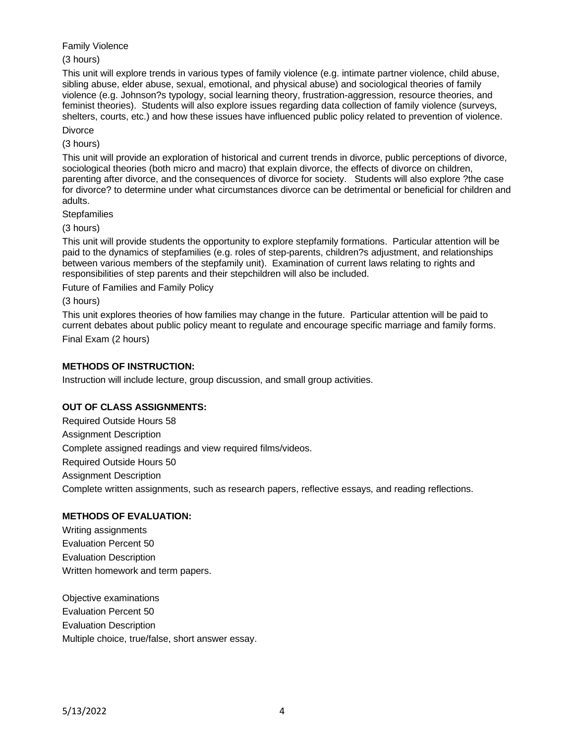Family Violence

(3 hours)

This unit will explore trends in various types of family violence (e.g. intimate partner violence, child abuse, sibling abuse, elder abuse, sexual, emotional, and physical abuse) and sociological theories of family violence (e.g. Johnson?s typology, social learning theory, frustration-aggression, resource theories, and feminist theories). Students will also explore issues regarding data collection of family violence (surveys, shelters, courts, etc.) and how these issues have influenced public policy related to prevention of violence.

**Divorce** 

(3 hours)

This unit will provide an exploration of historical and current trends in divorce, public perceptions of divorce, sociological theories (both micro and macro) that explain divorce, the effects of divorce on children, parenting after divorce, and the consequences of divorce for society. Students will also explore ?the case for divorce? to determine under what circumstances divorce can be detrimental or beneficial for children and adults.

**Stepfamilies** 

(3 hours)

This unit will provide students the opportunity to explore stepfamily formations. Particular attention will be paid to the dynamics of stepfamilies (e.g. roles of step-parents, children?s adjustment, and relationships between various members of the stepfamily unit). Examination of current laws relating to rights and responsibilities of step parents and their stepchildren will also be included.

Future of Families and Family Policy

(3 hours)

This unit explores theories of how families may change in the future. Particular attention will be paid to current debates about public policy meant to regulate and encourage specific marriage and family forms. Final Exam (2 hours)

# **METHODS OF INSTRUCTION:**

Instruction will include lecture, group discussion, and small group activities.

### **OUT OF CLASS ASSIGNMENTS:**

Required Outside Hours 58 Assignment Description Complete assigned readings and view required films/videos. Required Outside Hours 50 Assignment Description Complete written assignments, such as research papers, reflective essays, and reading reflections.

### **METHODS OF EVALUATION:**

Writing assignments Evaluation Percent 50 Evaluation Description Written homework and term papers.

Objective examinations Evaluation Percent 50 Evaluation Description Multiple choice, true/false, short answer essay.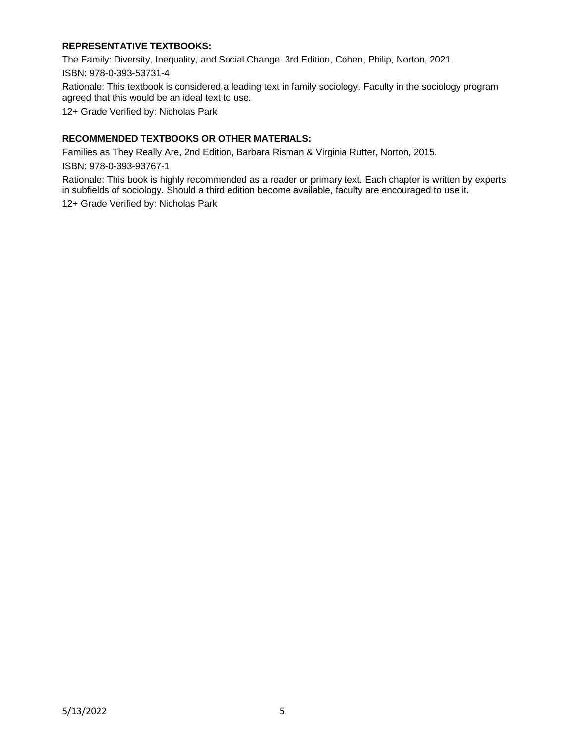# **REPRESENTATIVE TEXTBOOKS:**

The Family: Diversity, Inequality, and Social Change. 3rd Edition, Cohen, Philip, Norton, 2021. ISBN: 978-0-393-53731-4

Rationale: This textbook is considered a leading text in family sociology. Faculty in the sociology program agreed that this would be an ideal text to use.

12+ Grade Verified by: Nicholas Park

### **RECOMMENDED TEXTBOOKS OR OTHER MATERIALS:**

Families as They Really Are, 2nd Edition, Barbara Risman & Virginia Rutter, Norton, 2015. ISBN: 978-0-393-93767-1

Rationale: This book is highly recommended as a reader or primary text. Each chapter is written by experts in subfields of sociology. Should a third edition become available, faculty are encouraged to use it. 12+ Grade Verified by: Nicholas Park